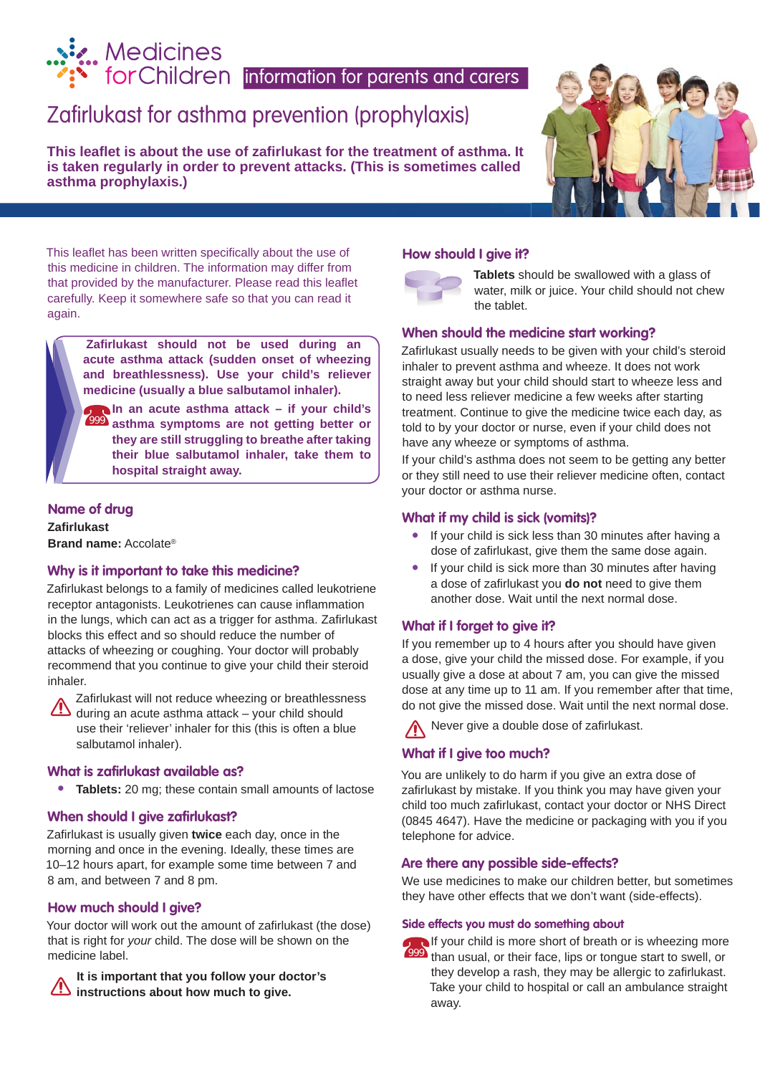# Zafirlukast for asthma prevention (prophylaxis) information for parents and carers.<br> **Exercise ForChildren** information for parents and carers

**This leafl et is about the use of zafi rlukast for the treatment of asthma. It is taken regularly in order to prevent attacks. (This is sometimes called asthma prophylaxis.)**



This leaflet has been written specifically about the use of this medicine in children. The information may differ from that provided by the manufacturer. Please read this leaflet carefully. Keep it somewhere safe so that you can read it again.

> **Zafi rlukast should not be used during an acute asthma attack (sudden onset of wheezing and breathlessness). Use your child's reliever medicine (usually a blue salbutamol inhaler).**

**In an acute asthma attack – if your child's asthma symptoms are not getting better or**  999**they are still struggling to breathe after taking their blue salbutamol inhaler, take them to hospital straight away.**

#### **Name of drug**

**Zafi rlukast Brand name:** Accolate®

#### **Why is it important to take this medicine?**

Zafirlukast belongs to a family of medicines called leukotriene receptor antagonists. Leukotrienes can cause inflammation in the lungs, which can act as a trigger for asthma. Zafirlukast blocks this effect and so should reduce the number of attacks of wheezing or coughing. Your doctor will probably recommend that you continue to give your child their steroid inhaler.

Zafirlukast will not reduce wheezing or breathlessness during an acute asthma attack – your child should use their 'reliever' inhaler for this (this is often a blue salbutamol inhaler).

#### **What is zafirlukast available as?**

**• Tablets:** 20 mg; these contain small amounts of lactose

#### **When should I give zafirlukast?**

Zafirlukast is usually given **twice** each day, once in the morning and once in the evening. Ideally, these times are 10–12 hours apart, for example some time between 7 and 8 am, and between 7 and 8 pm.

#### **How much should I give?**

Your doctor will work out the amount of zafirlukast (the dose) that is right for *your* child. The dose will be shown on the medicine label.

**It is important that you follow your doctor's instructions about how much to give.** 

#### **How should I give it?**



**Tablets** should be swallowed with a glass of water, milk or juice. Your child should not chew the tablet.

#### **When should the medicine start working?**

Zafirlukast usually needs to be given with your child's steroid inhaler to prevent asthma and wheeze. It does not work straight away but your child should start to wheeze less and to need less reliever medicine a few weeks after starting treatment. Continue to give the medicine twice each day, as told to by your doctor or nurse, even if your child does not have any wheeze or symptoms of asthma.

If your child's asthma does not seem to be getting any better or they still need to use their reliever medicine often, contact your doctor or asthma nurse.

#### **What if my child is sick (vomits)?**

- If your child is sick less than 30 minutes after having a dose of zafirlukast, give them the same dose again.
- If your child is sick more than 30 minutes after having a dose of zafirlukast you **do not** need to give them another dose. Wait until the next normal dose.

#### **What if I forget to give it?**

If you remember up to 4 hours after you should have given a dose, give your child the missed dose. For example, if you usually give a dose at about 7 am, you can give the missed dose at any time up to 11 am. If you remember after that time, do not give the missed dose. Wait until the next normal dose.

Never give a double dose of zafirlukast.

#### **What if I give too much?**

You are unlikely to do harm if you give an extra dose of zafirlukast by mistake. If you think you may have given your child too much zafirlukast, contact your doctor or NHS Direct (0845 4647). Have the medicine or packaging with you if you telephone for advice.

#### **Are there any possible side-effects?**

We use medicines to make our children better, but sometimes they have other effects that we don't want (side-effects).

#### **Side effects you must do something about**



If your child is more short of breath or is wheezing more 999 than usual, or their face, lips or tongue start to swell, or they develop a rash, they may be allergic to zafirlukast. Take your child to hospital or call an ambulance straight away.